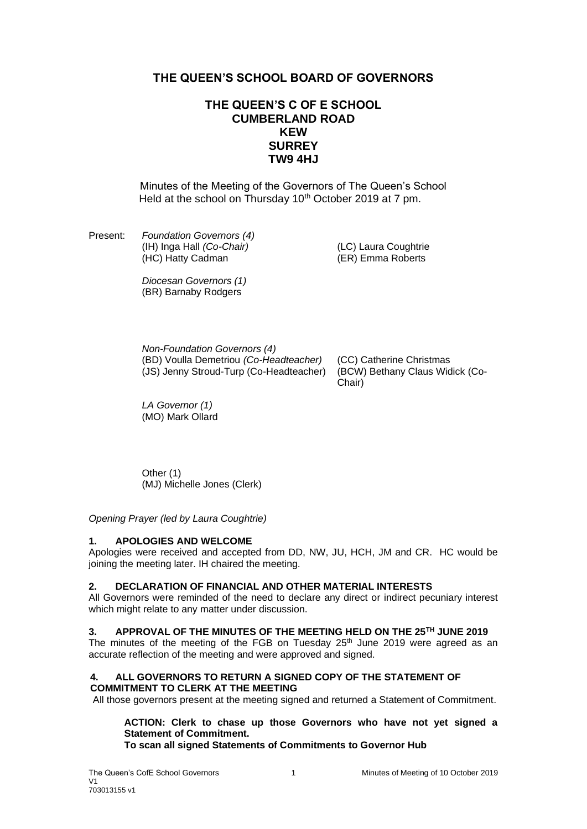# **THE QUEEN'S SCHOOL BOARD OF GOVERNORS**

# **THE QUEEN'S C OF E SCHOOL CUMBERLAND ROAD KEW SURREY TW9 4HJ**

Minutes of the Meeting of the Governors of The Queen's School Held at the school on Thursday 10<sup>th</sup> October 2019 at 7 pm.

Present: *Foundation Governors (4)* (IH) Inga Hall *(Co-Chair)* (LC) Laura Coughtrie  $(HC)$  Hatty Cadman

*Diocesan Governors (1)* (BR) Barnaby Rodgers

*Non-Foundation Governors (4)* (BD) Voulla Demetriou *(Co-Headteacher)* (CC) Catherine Christmas (JS) Jenny Stroud-Turp (Co-Headteacher) (BCW) Bethany Claus Widick (Co-

Chair)

*LA Governor (1)* (MO) Mark Ollard

Other (1) (MJ) Michelle Jones (Clerk)

*Opening Prayer (led by Laura Coughtrie)*

## **1. APOLOGIES AND WELCOME**

Apologies were received and accepted from DD, NW, JU, HCH, JM and CR. HC would be joining the meeting later. IH chaired the meeting.

## **2. DECLARATION OF FINANCIAL AND OTHER MATERIAL INTERESTS**

All Governors were reminded of the need to declare any direct or indirect pecuniary interest which might relate to any matter under discussion.

## **3. APPROVAL OF THE MINUTES OF THE MEETING HELD ON THE 25TH JUNE 2019**

The minutes of the meeting of the FGB on Tuesday  $25<sup>th</sup>$  June 2019 were agreed as an accurate reflection of the meeting and were approved and signed.

### **4. ALL GOVERNORS TO RETURN A SIGNED COPY OF THE STATEMENT OF COMMITMENT TO CLERK AT THE MEETING**

All those governors present at the meeting signed and returned a Statement of Commitment.

**ACTION: Clerk to chase up those Governors who have not yet signed a Statement of Commitment.**

**To scan all signed Statements of Commitments to Governor Hub**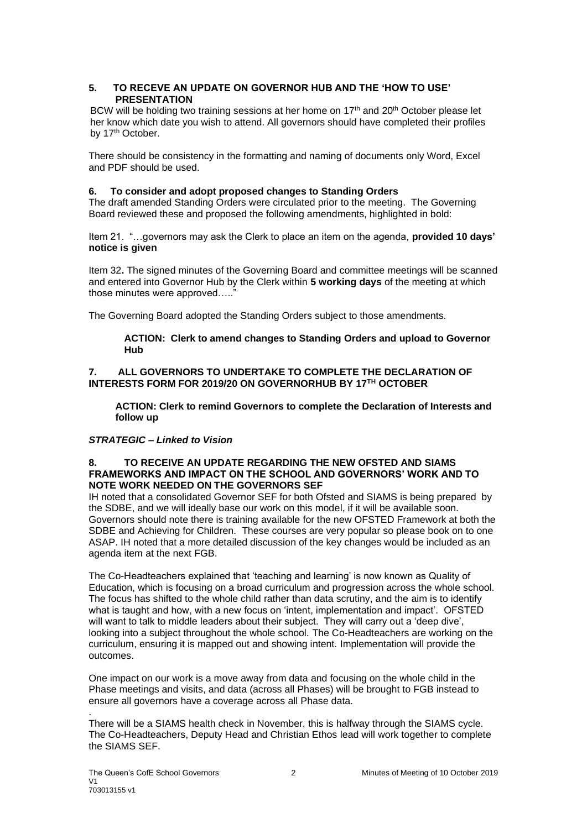## **5. TO RECEVE AN UPDATE ON GOVERNOR HUB AND THE 'HOW TO USE' PRESENTATION**

BCW will be holding two training sessions at her home on  $17<sup>th</sup>$  and  $20<sup>th</sup>$  October please let her know which date you wish to attend. All governors should have completed their profiles by 17<sup>th</sup> October.

There should be consistency in the formatting and naming of documents only Word, Excel and PDF should be used.

## **6. To consider and adopt proposed changes to Standing Orders**

The draft amended Standing Orders were circulated prior to the meeting. The Governing Board reviewed these and proposed the following amendments, highlighted in bold:

Item 21. "…governors may ask the Clerk to place an item on the agenda, **provided 10 days' notice is given**

Item 32**.** The signed minutes of the Governing Board and committee meetings will be scanned and entered into Governor Hub by the Clerk within **5 working days** of the meeting at which those minutes were approved....."

The Governing Board adopted the Standing Orders subject to those amendments.

### **ACTION: Clerk to amend changes to Standing Orders and upload to Governor Hub**

### **7. ALL GOVERNORS TO UNDERTAKE TO COMPLETE THE DECLARATION OF INTERESTS FORM FOR 2019/20 ON GOVERNORHUB BY 17TH OCTOBER**

**ACTION: Clerk to remind Governors to complete the Declaration of Interests and follow up**

## *STRATEGIC – Linked to Vision*

#### **8. TO RECEIVE AN UPDATE REGARDING THE NEW OFSTED AND SIAMS FRAMEWORKS AND IMPACT ON THE SCHOOL AND GOVERNORS' WORK AND TO NOTE WORK NEEDED ON THE GOVERNORS SEF**

IH noted that a consolidated Governor SEF for both Ofsted and SIAMS is being prepared by the SDBE, and we will ideally base our work on this model, if it will be available soon. Governors should note there is training available for the new OFSTED Framework at both the SDBE and Achieving for Children. These courses are very popular so please book on to one ASAP. IH noted that a more detailed discussion of the key changes would be included as an agenda item at the next FGB.

The Co-Headteachers explained that 'teaching and learning' is now known as Quality of Education, which is focusing on a broad curriculum and progression across the whole school. The focus has shifted to the whole child rather than data scrutiny, and the aim is to identify what is taught and how, with a new focus on 'intent, implementation and impact'. OFSTED will want to talk to middle leaders about their subject. They will carry out a 'deep dive', looking into a subject throughout the whole school. The Co-Headteachers are working on the curriculum, ensuring it is mapped out and showing intent. Implementation will provide the outcomes.

One impact on our work is a move away from data and focusing on the whole child in the Phase meetings and visits, and data (across all Phases) will be brought to FGB instead to ensure all governors have a coverage across all Phase data.

There will be a SIAMS health check in November, this is halfway through the SIAMS cycle. The Co-Headteachers, Deputy Head and Christian Ethos lead will work together to complete the SIAMS SEF.

.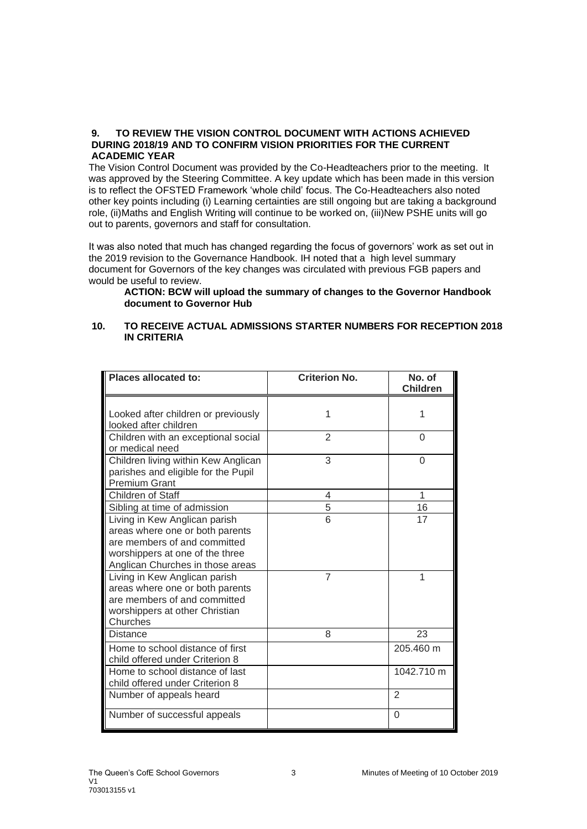### **9. TO REVIEW THE VISION CONTROL DOCUMENT WITH ACTIONS ACHIEVED DURING 2018/19 AND TO CONFIRM VISION PRIORITIES FOR THE CURRENT ACADEMIC YEAR**

The Vision Control Document was provided by the Co-Headteachers prior to the meeting. It was approved by the Steering Committee. A key update which has been made in this version is to reflect the OFSTED Framework 'whole child' focus. The Co-Headteachers also noted other key points including (i) Learning certainties are still ongoing but are taking a background role, (ii)Maths and English Writing will continue to be worked on, (iii)New PSHE units will go out to parents, governors and staff for consultation.

It was also noted that much has changed regarding the focus of governors' work as set out in the 2019 revision to the Governance Handbook. IH noted that a high level summary document for Governors of the key changes was circulated with previous FGB papers and would be useful to review.

### **ACTION: BCW will upload the summary of changes to the Governor Handbook document to Governor Hub**

## **10. TO RECEIVE ACTUAL ADMISSIONS STARTER NUMBERS FOR RECEPTION 2018 IN CRITERIA**

| <b>Places allocated to:</b>                                                                                                                                             | <b>Criterion No.</b> | No. of<br><b>Children</b> |
|-------------------------------------------------------------------------------------------------------------------------------------------------------------------------|----------------------|---------------------------|
| Looked after children or previously<br>looked after children                                                                                                            | 1                    | 1                         |
| Children with an exceptional social<br>or medical need                                                                                                                  | $\overline{2}$       | 0                         |
| Children living within Kew Anglican<br>parishes and eligible for the Pupil<br><b>Premium Grant</b>                                                                      | 3                    | 0                         |
| Children of Staff                                                                                                                                                       | 4                    | 1                         |
| Sibling at time of admission                                                                                                                                            | 5                    | 16                        |
| Living in Kew Anglican parish<br>areas where one or both parents<br>are members of and committed<br>worshippers at one of the three<br>Anglican Churches in those areas | 6                    | 17                        |
| Living in Kew Anglican parish<br>areas where one or both parents<br>are members of and committed<br>worshippers at other Christian<br>Churches                          | $\overline{7}$       | 1                         |
| Distance                                                                                                                                                                | 8                    | 23                        |
| Home to school distance of first<br>child offered under Criterion 8                                                                                                     |                      | 205.460 m                 |
| Home to school distance of last<br>child offered under Criterion 8                                                                                                      |                      | 1042.710 m                |
| Number of appeals heard                                                                                                                                                 |                      | $\overline{2}$            |
| Number of successful appeals                                                                                                                                            |                      | $\Omega$                  |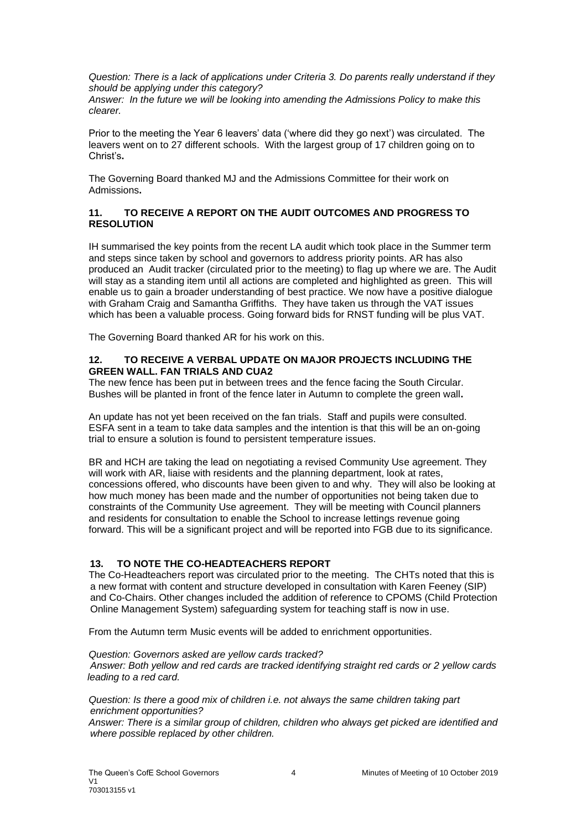*Question: There is a lack of applications under Criteria 3. Do parents really understand if they should be applying under this category? Answer: In the future we will be looking into amending the Admissions Policy to make this clearer.*

Prior to the meeting the Year 6 leavers' data ('where did they go next') was circulated. The leavers went on to 27 different schools. With the largest group of 17 children going on to Christ's**.**

The Governing Board thanked MJ and the Admissions Committee for their work on Admissions**.**

## **11. TO RECEIVE A REPORT ON THE AUDIT OUTCOMES AND PROGRESS TO RESOLUTION**

IH summarised the key points from the recent LA audit which took place in the Summer term and steps since taken by school and governors to address priority points. AR has also produced an Audit tracker (circulated prior to the meeting) to flag up where we are. The Audit will stay as a standing item until all actions are completed and highlighted as green. This will enable us to gain a broader understanding of best practice. We now have a positive dialogue with Graham Craig and Samantha Griffiths. They have taken us through the VAT issues which has been a valuable process. Going forward bids for RNST funding will be plus VAT.

The Governing Board thanked AR for his work on this.

### **12. TO RECEIVE A VERBAL UPDATE ON MAJOR PROJECTS INCLUDING THE GREEN WALL. FAN TRIALS AND CUA2**

The new fence has been put in between trees and the fence facing the South Circular. Bushes will be planted in front of the fence later in Autumn to complete the green wall**.**

An update has not yet been received on the fan trials. Staff and pupils were consulted. ESFA sent in a team to take data samples and the intention is that this will be an on-going trial to ensure a solution is found to persistent temperature issues.

BR and HCH are taking the lead on negotiating a revised Community Use agreement. They will work with AR, liaise with residents and the planning department, look at rates, concessions offered, who discounts have been given to and why. They will also be looking at how much money has been made and the number of opportunities not being taken due to constraints of the Community Use agreement. They will be meeting with Council planners and residents for consultation to enable the School to increase lettings revenue going forward. This will be a significant project and will be reported into FGB due to its significance.

## **13. TO NOTE THE CO-HEADTEACHERS REPORT**

The Co-Headteachers report was circulated prior to the meeting. The CHTs noted that this is a new format with content and structure developed in consultation with Karen Feeney (SIP) and Co-Chairs. Other changes included the addition of reference to CPOMS (Child Protection Online Management System) safeguarding system for teaching staff is now in use.

From the Autumn term Music events will be added to enrichment opportunities.

#### *Question: Governors asked are yellow cards tracked?*

*Answer: Both yellow and red cards are tracked identifying straight red cards or 2 yellow cards leading to a red card.*

*Question: Is there a good mix of children i.e. not always the same children taking part enrichment opportunities?*

*Answer: There is a similar group of children, children who always get picked are identified and where possible replaced by other children.*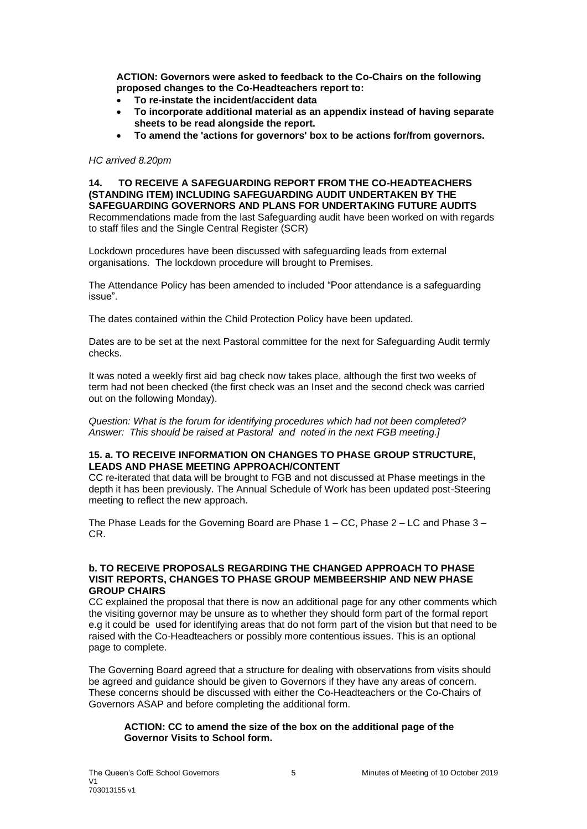**ACTION: Governors were asked to feedback to the Co-Chairs on the following proposed changes to the Co-Headteachers report to:**

- **To re-instate the incident/accident data**
- **To incorporate additional material as an appendix instead of having separate sheets to be read alongside the report.**
- **To amend the 'actions for governors' box to be actions for/from governors.**

#### *HC arrived 8.20pm*

**14. TO RECEIVE A SAFEGUARDING REPORT FROM THE CO-HEADTEACHERS (STANDING ITEM) INCLUDING SAFEGUARDING AUDIT UNDERTAKEN BY THE SAFEGUARDING GOVERNORS AND PLANS FOR UNDERTAKING FUTURE AUDITS** Recommendations made from the last Safeguarding audit have been worked on with regards to staff files and the Single Central Register (SCR)

Lockdown procedures have been discussed with safeguarding leads from external organisations. The lockdown procedure will brought to Premises.

The Attendance Policy has been amended to included "Poor attendance is a safeguarding issue".

The dates contained within the Child Protection Policy have been updated.

Dates are to be set at the next Pastoral committee for the next for Safeguarding Audit termly checks.

It was noted a weekly first aid bag check now takes place, although the first two weeks of term had not been checked (the first check was an Inset and the second check was carried out on the following Monday).

*Question: What is the forum for identifying procedures which had not been completed? Answer: This should be raised at Pastoral and noted in the next FGB meeting.]*

### **15. a. TO RECEIVE INFORMATION ON CHANGES TO PHASE GROUP STRUCTURE, LEADS AND PHASE MEETING APPROACH/CONTENT**

CC re-iterated that data will be brought to FGB and not discussed at Phase meetings in the depth it has been previously. The Annual Schedule of Work has been updated post-Steering meeting to reflect the new approach.

The Phase Leads for the Governing Board are Phase  $1 - CC$ , Phase  $2 - LC$  and Phase  $3 -$ CR.

### **b. TO RECEIVE PROPOSALS REGARDING THE CHANGED APPROACH TO PHASE VISIT REPORTS, CHANGES TO PHASE GROUP MEMBEERSHIP AND NEW PHASE GROUP CHAIRS**

CC explained the proposal that there is now an additional page for any other comments which the visiting governor may be unsure as to whether they should form part of the formal report e.g it could be used for identifying areas that do not form part of the vision but that need to be raised with the Co-Headteachers or possibly more contentious issues. This is an optional page to complete.

The Governing Board agreed that a structure for dealing with observations from visits should be agreed and guidance should be given to Governors if they have any areas of concern. These concerns should be discussed with either the Co-Headteachers or the Co-Chairs of Governors ASAP and before completing the additional form.

## **ACTION: CC to amend the size of the box on the additional page of the Governor Visits to School form.**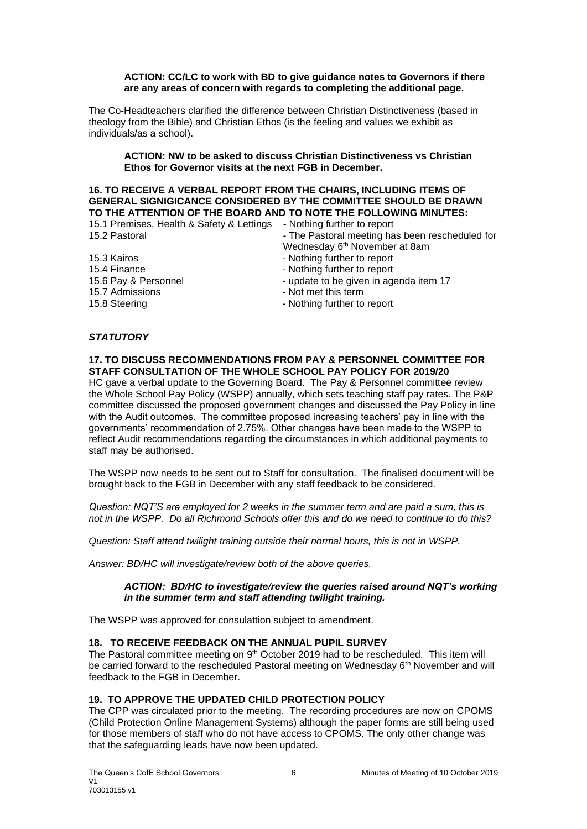#### **ACTION: CC/LC to work with BD to give guidance notes to Governors if there are any areas of concern with regards to completing the additional page***.*

The Co-Headteachers clarified the difference between Christian Distinctiveness (based in theology from the Bible) and Christian Ethos (is the feeling and values we exhibit as individuals/as a school).

### **ACTION: NW to be asked to discuss Christian Distinctiveness vs Christian Ethos for Governor visits at the next FGB in December.**

## **16. TO RECEIVE A VERBAL REPORT FROM THE CHAIRS, INCLUDING ITEMS OF GENERAL SIGNIGICANCE CONSIDERED BY THE COMMITTEE SHOULD BE DRAWN TO THE ATTENTION OF THE BOARD AND TO NOTE THE FOLLOWING MINUTES:**

| 15.1 Premises, Health & Safety & Lettings | - Nothing further to report                     |
|-------------------------------------------|-------------------------------------------------|
| 15.2 Pastoral                             | - The Pastoral meeting has been rescheduled for |
|                                           | Wednesday 6 <sup>th</sup> November at 8am       |
| 15.3 Kairos                               | - Nothing further to report                     |
| 15.4 Finance                              | - Nothing further to report                     |
| 15.6 Pay & Personnel                      | - update to be given in agenda item 17          |
| 15.7 Admissions                           | - Not met this term                             |
| 15.8 Steering                             | - Nothing further to report                     |
|                                           |                                                 |

# *STATUTORY*

## **17. TO DISCUSS RECOMMENDATIONS FROM PAY & PERSONNEL COMMITTEE FOR STAFF CONSULTATION OF THE WHOLE SCHOOL PAY POLICY FOR 2019/20** HC gave a verbal update to the Governing Board. The Pay & Personnel committee review

the Whole School Pay Policy (WSPP) annually, which sets teaching staff pay rates. The P&P committee discussed the proposed government changes and discussed the Pay Policy in line with the Audit outcomes. The committee proposed increasing teachers' pay in line with the governments' recommendation of 2.75%. Other changes have been made to the WSPP to reflect Audit recommendations regarding the circumstances in which additional payments to staff may be authorised.

The WSPP now needs to be sent out to Staff for consultation. The finalised document will be brought back to the FGB in December with any staff feedback to be considered.

*Question: NQT'S are employed for 2 weeks in the summer term and are paid a sum, this is not in the WSPP. Do all Richmond Schools offer this and do we need to continue to do this?*

*Question: Staff attend twilight training outside their normal hours, this is not in WSPP.*

*Answer: BD/HC will investigate/review both of the above queries.*

### *ACTION: BD/HC to investigate/review the queries raised around NQT's working in the summer term and staff attending twilight training.*

The WSPP was approved for consulattion subject to amendment.

## **18. TO RECEIVE FEEDBACK ON THE ANNUAL PUPIL SURVEY**

The Pastoral committee meeting on  $9<sup>th</sup>$  October 2019 had to be rescheduled. This item will be carried forward to the rescheduled Pastoral meeting on Wednesday 6<sup>th</sup> November and will feedback to the FGB in December.

# **19. TO APPROVE THE UPDATED CHILD PROTECTION POLICY**

The CPP was circulated prior to the meeting. The recording procedures are now on CPOMS (Child Protection Online Management Systems) although the paper forms are still being used for those members of staff who do not have access to CPOMS. The only other change was that the safeguarding leads have now been updated.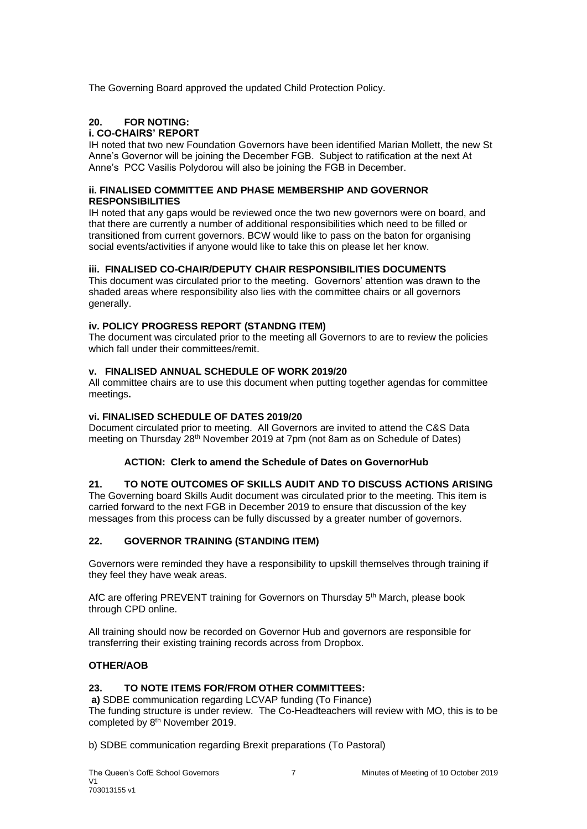The Governing Board approved the updated Child Protection Policy.

# **20. FOR NOTING:**

## **i. CO-CHAIRS' REPORT**

IH noted that two new Foundation Governors have been identified Marian Mollett, the new St Anne's Governor will be joining the December FGB. Subject to ratification at the next At Anne's PCC Vasilis Polydorou will also be joining the FGB in December.

### **ii. FINALISED COMMITTEE AND PHASE MEMBERSHIP AND GOVERNOR RESPONSIBILITIES**

IH noted that any gaps would be reviewed once the two new governors were on board, and that there are currently a number of additional responsibilities which need to be filled or transitioned from current governors. BCW would like to pass on the baton for organising social events/activities if anyone would like to take this on please let her know.

## **iii. FINALISED CO-CHAIR/DEPUTY CHAIR RESPONSIBILITIES DOCUMENTS**

This document was circulated prior to the meeting. Governors' attention was drawn to the shaded areas where responsibility also lies with the committee chairs or all governors generally.

## **iv. POLICY PROGRESS REPORT (STANDNG ITEM)**

The document was circulated prior to the meeting all Governors to are to review the policies which fall under their committees/remit.

## **v. FINALISED ANNUAL SCHEDULE OF WORK 2019/20**

All committee chairs are to use this document when putting together agendas for committee meetings**.**

## **vi. FINALISED SCHEDULE OF DATES 2019/20**

Document circulated prior to meeting. All Governors are invited to attend the C&S Data meeting on Thursday 28<sup>th</sup> November 2019 at 7pm (not 8am as on Schedule of Dates)

## **ACTION: Clerk to amend the Schedule of Dates on GovernorHub**

## **21. TO NOTE OUTCOMES OF SKILLS AUDIT AND TO DISCUSS ACTIONS ARISING**

The Governing board Skills Audit document was circulated prior to the meeting. This item is carried forward to the next FGB in December 2019 to ensure that discussion of the key messages from this process can be fully discussed by a greater number of governors.

# **22. GOVERNOR TRAINING (STANDING ITEM)**

Governors were reminded they have a responsibility to upskill themselves through training if they feel they have weak areas.

AfC are offering PREVENT training for Governors on Thursday 5th March, please book through CPD online.

All training should now be recorded on Governor Hub and governors are responsible for transferring their existing training records across from Dropbox.

# **OTHER/AOB**

## **23. TO NOTE ITEMS FOR/FROM OTHER COMMITTEES:**

**a)** SDBE communication regarding LCVAP funding (To Finance) The funding structure is under review. The Co-Headteachers will review with MO, this is to be completed by 8<sup>th</sup> November 2019.

b) SDBE communication regarding Brexit preparations (To Pastoral)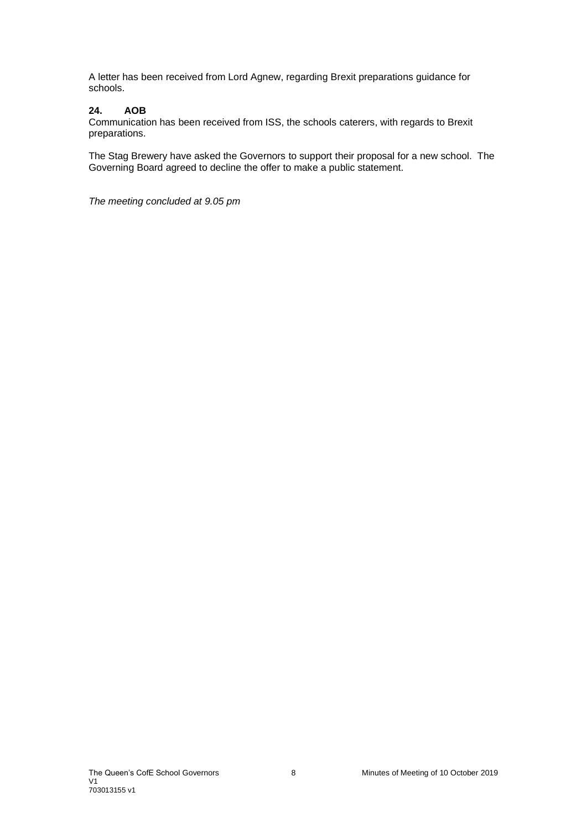A letter has been received from Lord Agnew, regarding Brexit preparations guidance for schools.

# **24. AOB**

Communication has been received from ISS, the schools caterers, with regards to Brexit preparations.

The Stag Brewery have asked the Governors to support their proposal for a new school. The Governing Board agreed to decline the offer to make a public statement.

*The meeting concluded at 9.05 pm*